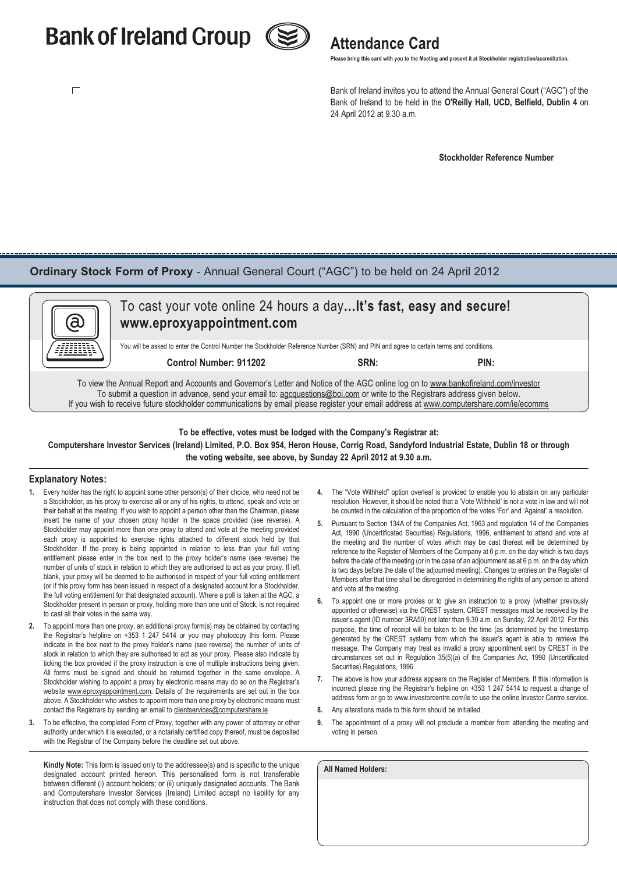# **Bank of Ireland Group (S)** Attendance Card

 $\Box$ 



 **Please bring this card with you to the Meeting and present it at Stockholder registration/accreditation.**

 Bank of Ireland invites you to attend the Annual General Court ("AGC") of the Bank of Ireland to be held in the **O'Reilly Hall, UCD, Belfield, Dublin 4** on 24 April 2012 at 9.30 a.m.

 **Stockholder Reference Number**

### **Ordinary Stock Form of Proxy** - Annual General Court ("AGC") to be held on 24 April 2012



### **To be effective, votes must be lodged with the Company's Registrar at: Computershare Investor Services (Ireland) Limited, P.O. Box 954, Heron House, Corrig Road, Sandyford Industrial Estate, Dublin 18 or through the voting website, see above, by Sunday 22 April 2012 at 9.30 a.m.**

#### **Explanatory Notes:**

- **1.** Every holder has the right to appoint some other person(s) of their choice, who need not be a Stockholder, as his proxy to exercise all or any of his rights, to attend, speak and vote on their behalf at the meeting. If you wish to appoint a person other than the Chairman, please insert the name of your chosen proxy holder in the space provided (see reverse). A Stockholder may appoint more than one proxy to attend and vote at the meeting provided each proxy is appointed to exercise rights attached to different stock held by that Stockholder. If the proxy is being appointed in relation to less than your full voting entitlement please enter in the box next to the proxy holder's name (see reverse) the number of units of stock in relation to which they are authorised to act as your proxy. If left blank, your proxy will be deemed to be authorised in respect of your full voting entitlement (or if this proxy form has been issued in respect of a designated account for a Stockholder, the full voting entitlement for that designated account). Where a poll is taken at the AGC, a Stockholder present in person or proxy, holding more than one unit of Stock, is not required to cast all their votes in the same way.
- **2.** To appoint more than one proxy, an additional proxy form(s) may be obtained by contacting the Registrar's helpline on +353 1 247 5414 or you may photocopy this form. Please indicate in the box next to the proxy holder's name (see reverse) the number of units of stock in relation to which they are authorised to act as your proxy. Please also indicate by ticking the box provided if the proxy instruction is one of multiple instructions being given. All forms must be signed and should be returned together in the same envelope. A Stockholder wishing to appoint a proxy by electronic means may do so on the Registrar's website www.eproxyappointment.com. Details of the requirements are set out in the box above. A Stockholder who wishes to appoint more than one proxy by electronic means must contact the Registrars by sending an email to clientservices@computershare.ie
- **3.** To be effective, the completed Form of Proxy, together with any power of attorney or other authority under which it is executed, or a notarially certified copy thereof, must be deposited with the Registrar of the Company before the deadline set out above.

**Kindly Note:** This form is issued only to the addressee(s) and is specific to the unique designated account printed hereon. This personalised form is not transferable between different (i) account holders; or (ii) uniquely designated accounts. The Bank and Computershare Investor Services (Ireland) Limited accept no liability for any instruction that does not comply with these conditions.

- **4.** The "Vote Withheld" option overleaf is provided to enable you to abstain on any particular resolution. However, it should be noted that a 'Vote Withheld' is not a vote in law and will not be counted in the calculation of the proportion of the votes 'For' and 'Against' a resolution.
- **5.** Pursuant to Section 134A of the Companies Act, 1963 and regulation 14 of the Companies Act, 1990 (Uncertificated Securities) Regulations, 1996, entitlement to attend and vote at the meeting and the number of votes which may be cast thereat will be determined by reference to the Register of Members of the Company at 6 p.m. on the day which is two days before the date of the meeting (or in the case of an adjournment as at 6 p.m. on the day which is two days before the date of the adjourned meeting). Changes to entries on the Register of Members after that time shall be disregarded in determining the rights of any person to attend and vote at the meeting.
- **6.** To appoint one or more proxies or to give an instruction to a proxy (whether previously appointed or otherwise) via the CREST system, CREST messages must be received by the issuer's agent (ID number 3RA50) not later than 9.30 a.m. on Sunday, 22 April 2012. For this purpose, the time of receipt will be taken to be the time (as determined by the timestamp generated by the CREST system) from which the issuer's agent is able to retrieve the message. The Company may treat as invalid a proxy appointment sent by CREST in the circumstances set out in Regulation 35(5)(a) of the Companies Act, 1990 (Uncertificated Securities) Regulations, 1996.
- **7.** The above is how your address appears on the Register of Members. If this information is incorrect please ring the Registrar's helpline on +353 1 247 5414 to request a change of address form or go to www.investorcentre.com/ie to use the online Investor Centre service.
- **8.** Any alterations made to this form should be initialled.
- **9.** The appointment of a proxy will not preclude a member from attending the meeting and voting in person.

| <b>All Named Holders:</b> |  |  |  |
|---------------------------|--|--|--|
|                           |  |  |  |
|                           |  |  |  |
|                           |  |  |  |